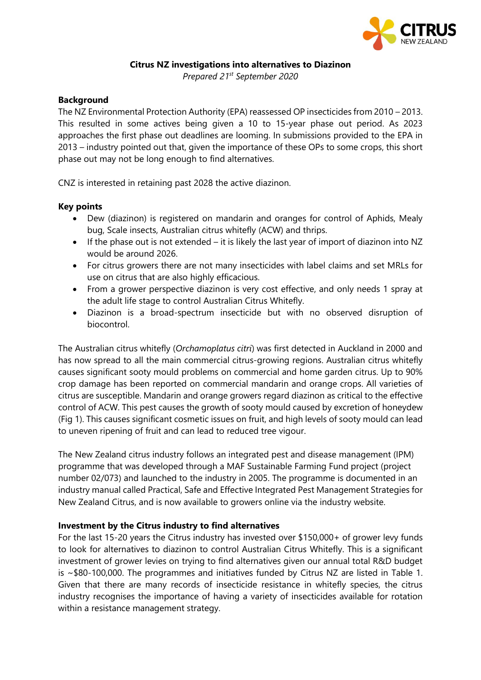

# **Citrus NZ investigations into alternatives to Diazinon**

*Prepared 21st September 2020*

## **Background**

The NZ Environmental Protection Authority (EPA) reassessed OP insecticides from 2010 – 2013. This resulted in some actives being given a 10 to 15-year phase out period. As 2023 approaches the first phase out deadlines are looming. In submissions provided to the EPA in 2013 – industry pointed out that, given the importance of these OPs to some crops, this short phase out may not be long enough to find alternatives.

CNZ is interested in retaining past 2028 the active diazinon.

## **Key points**

- Dew (diazinon) is registered on mandarin and oranges for control of Aphids, Mealy bug, Scale insects, Australian citrus whitefly (ACW) and thrips.
- If the phase out is not extended it is likely the last year of import of diazinon into NZ would be around 2026.
- For citrus growers there are not many insecticides with label claims and set MRLs for use on citrus that are also highly efficacious.
- From a grower perspective diazinon is very cost effective, and only needs 1 spray at the adult life stage to control Australian Citrus Whitefly.
- Diazinon is a broad-spectrum insecticide but with no observed disruption of biocontrol.

The Australian citrus whitefly (*Orchamoplatus citri*) was first detected in Auckland in 2000 and has now spread to all the main commercial citrus-growing regions. Australian citrus whitefly causes significant sooty mould problems on commercial and home garden citrus. Up to 90% crop damage has been reported on commercial mandarin and orange crops. All varieties of citrus are susceptible. Mandarin and orange growers regard diazinon as critical to the effective control of ACW. This pest causes the growth of sooty mould caused by excretion of honeydew (Fig 1). This causes significant cosmetic issues on fruit, and high levels of sooty mould can lead to uneven ripening of fruit and can lead to reduced tree vigour.

The New Zealand citrus industry follows an integrated pest and disease management (IPM) programme that was developed through a MAF Sustainable Farming Fund project (project number 02/073) and launched to the industry in 2005. The programme is documented in an industry manual called Practical, Safe and Effective Integrated Pest Management Strategies for New Zealand Citrus, and is now available to growers online via the industry website.

### **Investment by the Citrus industry to find alternatives**

For the last 15-20 years the Citrus industry has invested over \$150,000+ of grower levy funds to look for alternatives to diazinon to control Australian Citrus Whitefly. This is a significant investment of grower levies on trying to find alternatives given our annual total R&D budget is ~\$80-100,000. The programmes and initiatives funded by Citrus NZ are listed in Table 1. Given that there are many records of insecticide resistance in whitefly species, the citrus industry recognises the importance of having a variety of insecticides available for rotation within a resistance management strategy.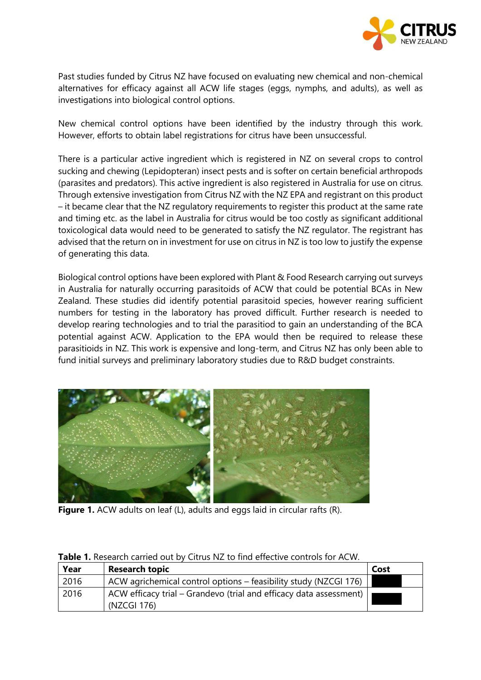

Past studies funded by Citrus NZ have focused on evaluating new chemical and non-chemical alternatives for efficacy against all ACW life stages (eggs, nymphs, and adults), as well as investigations into biological control options.

New chemical control options have been identified by the industry through this work. However, efforts to obtain label registrations for citrus have been unsuccessful.

There is a particular active ingredient which is registered in NZ on several crops to control sucking and chewing (Lepidopteran) insect pests and is softer on certain beneficial arthropods (parasites and predators). This active ingredient is also registered in Australia for use on citrus. Through extensive investigation from Citrus NZ with the NZ EPA and registrant on this product – it became clear that the NZ regulatory requirements to register this product at the same rate and timing etc. as the label in Australia for citrus would be too costly as significant additional toxicological data would need to be generated to satisfy the NZ regulator. The registrant has advised that the return on in investment for use on citrus in NZ is too low to justify the expense of generating this data.

Biological control options have been explored with Plant & Food Research carrying out surveys in Australia for naturally occurring parasitoids of ACW that could be potential BCAs in New Zealand. These studies did identify potential parasitoid species, however rearing sufficient numbers for testing in the laboratory has proved difficult. Further research is needed to develop rearing technologies and to trial the parasitiod to gain an understanding of the BCA potential against ACW. Application to the EPA would then be required to release these parasitioids in NZ. This work is expensive and long-term, and Citrus NZ has only been able to fund initial surveys and preliminary laboratory studies due to R&D budget constraints.



**Figure 1.** ACW adults on leaf (L), adults and eggs laid in circular rafts (R).

| Year | <b>Research topic</b>                                                             | Cost |
|------|-----------------------------------------------------------------------------------|------|
| 2016 | ACW agrichemical control options – feasibility study (NZCGI 176)                  |      |
| 2016 | ACW efficacy trial – Grandevo (trial and efficacy data assessment)<br>(NZCGI 176) |      |

### **Table 1.** Research carried out by Citrus NZ to find effective controls for ACW.